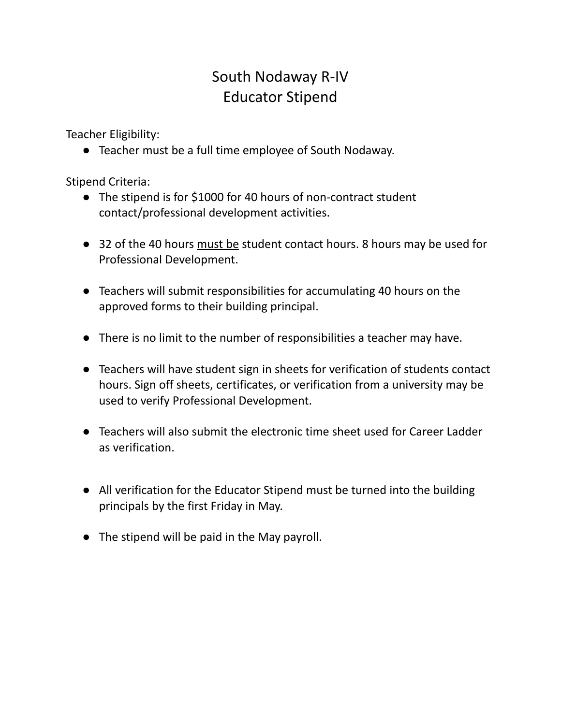# South Nodaway R-IV Educator Stipend

Teacher Eligibility:

● Teacher must be a full time employee of South Nodaway.

Stipend Criteria:

- The stipend is for \$1000 for 40 hours of non-contract student contact/professional development activities.
- 32 of the 40 hours must be student contact hours. 8 hours may be used for Professional Development.
- Teachers will submit responsibilities for accumulating 40 hours on the approved forms to their building principal.
- There is no limit to the number of responsibilities a teacher may have.
- Teachers will have student sign in sheets for verification of students contact hours. Sign off sheets, certificates, or verification from a university may be used to verify Professional Development.
- Teachers will also submit the electronic time sheet used for Career Ladder as verification.
- All verification for the Educator Stipend must be turned into the building principals by the first Friday in May.
- The stipend will be paid in the May payroll.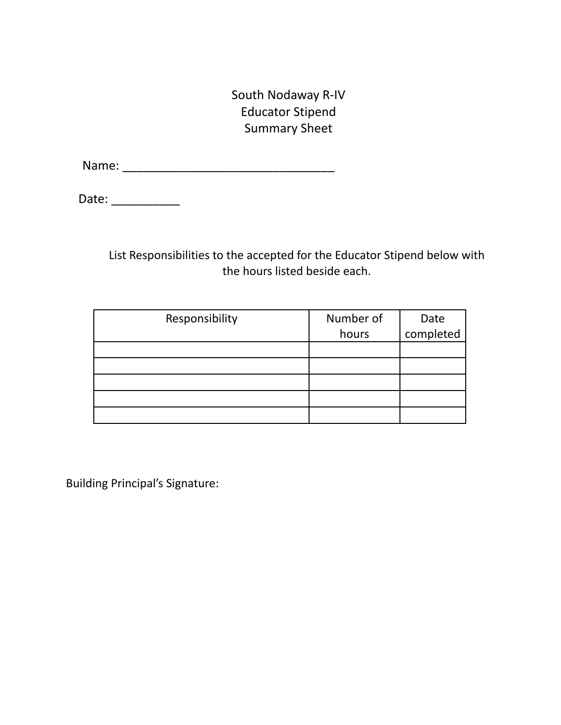South Nodaway R-IV Educator Stipend Summary Sheet

Name: \_\_\_\_\_\_\_\_\_\_\_\_\_\_\_\_\_\_\_\_\_\_\_\_\_\_\_\_\_\_\_

Date: \_\_\_\_\_\_\_\_\_\_

List Responsibilities to the accepted for the Educator Stipend below with the hours listed beside each.

| Responsibility | Number of |                   |
|----------------|-----------|-------------------|
|                | hours     | Date<br>completed |
|                |           |                   |
|                |           |                   |
|                |           |                   |
|                |           |                   |
|                |           |                   |

Building Principal's Signature: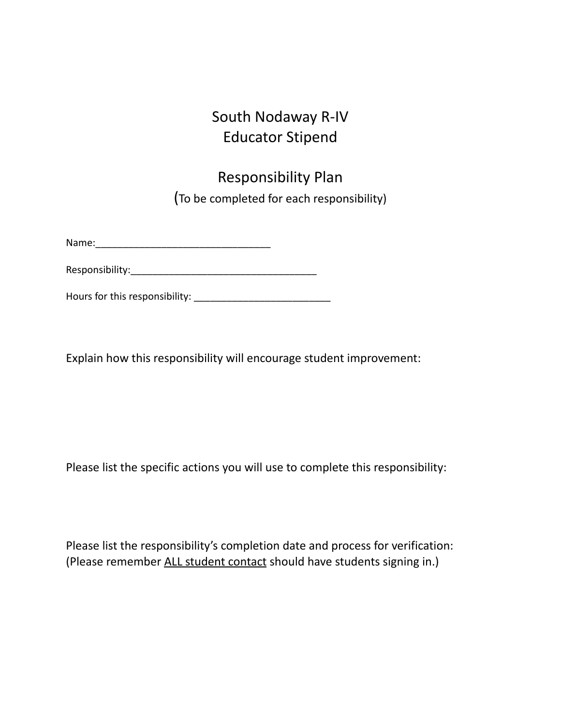## South Nodaway R-IV Educator Stipend

# Responsibility Plan (To be completed for each responsibility)

Name:\_\_\_\_\_\_\_\_\_\_\_\_\_\_\_\_\_\_\_\_\_\_\_\_\_\_\_\_\_\_\_\_

Responsibility:\_\_\_\_\_\_\_\_\_\_\_\_\_\_\_\_\_\_\_\_\_\_\_\_\_\_\_\_\_\_\_\_\_\_

Hours for this responsibility: \_\_\_\_\_\_\_\_\_\_\_\_\_\_\_\_\_\_\_\_\_\_\_\_\_

Explain how this responsibility will encourage student improvement:

Please list the specific actions you will use to complete this responsibility:

Please list the responsibility's completion date and process for verification: (Please remember ALL student contact should have students signing in.)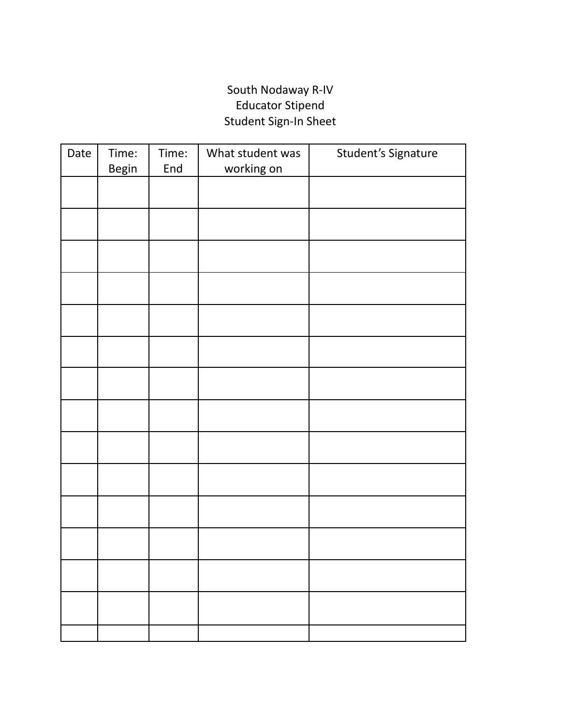#### South Nodaway R-IV Educator Stipend Student Sign-In Sheet

| Date | Time:<br><b>Begin</b> | Time:<br>End | What student was<br>working on | Student's Signature |
|------|-----------------------|--------------|--------------------------------|---------------------|
|      |                       |              |                                |                     |
|      |                       |              |                                |                     |
|      |                       |              |                                |                     |
|      |                       |              |                                |                     |
|      |                       |              |                                |                     |
|      |                       |              |                                |                     |
|      |                       |              |                                |                     |
|      |                       |              |                                |                     |
|      |                       |              |                                |                     |
|      |                       |              |                                |                     |
|      |                       |              |                                |                     |
|      |                       |              |                                |                     |
|      |                       |              |                                |                     |
|      |                       |              |                                |                     |
|      |                       |              |                                |                     |
|      |                       |              |                                |                     |